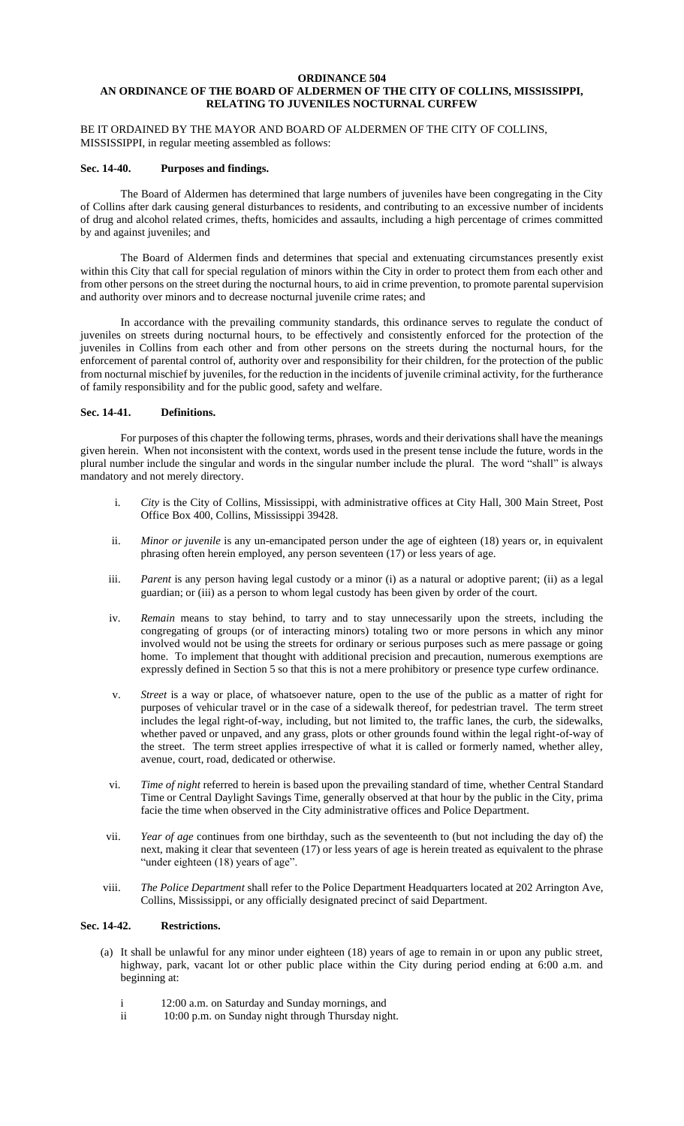### **ORDINANCE 504 AN ORDINANCE OF THE BOARD OF ALDERMEN OF THE CITY OF COLLINS, MISSISSIPPI, RELATING TO JUVENILES NOCTURNAL CURFEW**

## BE IT ORDAINED BY THE MAYOR AND BOARD OF ALDERMEN OF THE CITY OF COLLINS, MISSISSIPPI, in regular meeting assembled as follows:

### **Sec. 14-40. Purposes and findings.**

The Board of Aldermen has determined that large numbers of juveniles have been congregating in the City of Collins after dark causing general disturbances to residents, and contributing to an excessive number of incidents of drug and alcohol related crimes, thefts, homicides and assaults, including a high percentage of crimes committed by and against juveniles; and

The Board of Aldermen finds and determines that special and extenuating circumstances presently exist within this City that call for special regulation of minors within the City in order to protect them from each other and from other persons on the street during the nocturnal hours, to aid in crime prevention, to promote parental supervision and authority over minors and to decrease nocturnal juvenile crime rates; and

In accordance with the prevailing community standards, this ordinance serves to regulate the conduct of juveniles on streets during nocturnal hours, to be effectively and consistently enforced for the protection of the juveniles in Collins from each other and from other persons on the streets during the nocturnal hours, for the enforcement of parental control of, authority over and responsibility for their children, for the protection of the public from nocturnal mischief by juveniles, for the reduction in the incidents of juvenile criminal activity, for the furtherance of family responsibility and for the public good, safety and welfare.

### **Sec. 14-41. Definitions.**

For purposes of this chapter the following terms, phrases, words and their derivations shall have the meanings given herein. When not inconsistent with the context, words used in the present tense include the future, words in the plural number include the singular and words in the singular number include the plural. The word "shall" is always mandatory and not merely directory.

- i. *City* is the City of Collins, Mississippi, with administrative offices at City Hall, 300 Main Street, Post Office Box 400, Collins, Mississippi 39428.
- ii. *Minor or juvenile* is any un-emancipated person under the age of eighteen (18) years or, in equivalent phrasing often herein employed, any person seventeen (17) or less years of age.
- iii. *Parent* is any person having legal custody or a minor (i) as a natural or adoptive parent; (ii) as a legal guardian; or (iii) as a person to whom legal custody has been given by order of the court.
- iv. *Remain* means to stay behind, to tarry and to stay unnecessarily upon the streets, including the congregating of groups (or of interacting minors) totaling two or more persons in which any minor involved would not be using the streets for ordinary or serious purposes such as mere passage or going home. To implement that thought with additional precision and precaution, numerous exemptions are expressly defined in Section 5 so that this is not a mere prohibitory or presence type curfew ordinance.
- v. *Street* is a way or place, of whatsoever nature, open to the use of the public as a matter of right for purposes of vehicular travel or in the case of a sidewalk thereof, for pedestrian travel. The term street includes the legal right-of-way, including, but not limited to, the traffic lanes, the curb, the sidewalks, whether paved or unpaved, and any grass, plots or other grounds found within the legal right-of-way of the street. The term street applies irrespective of what it is called or formerly named, whether alley, avenue, court, road, dedicated or otherwise.
- vi. *Time of night* referred to herein is based upon the prevailing standard of time, whether Central Standard Time or Central Daylight Savings Time, generally observed at that hour by the public in the City, prima facie the time when observed in the City administrative offices and Police Department.
- vii. *Year of age* continues from one birthday, such as the seventeenth to (but not including the day of) the next, making it clear that seventeen (17) or less years of age is herein treated as equivalent to the phrase "under eighteen (18) years of age".
- viii. *The Police Department* shall refer to the Police Department Headquarters located at 202 Arrington Ave, Collins, Mississippi, or any officially designated precinct of said Department.

# **Sec. 14-42. Restrictions.**

- (a) It shall be unlawful for any minor under eighteen (18) years of age to remain in or upon any public street, highway, park, vacant lot or other public place within the City during period ending at 6:00 a.m. and beginning at:
	- i 12:00 a.m. on Saturday and Sunday mornings, and
	- ii 10:00 p.m. on Sunday night through Thursday night.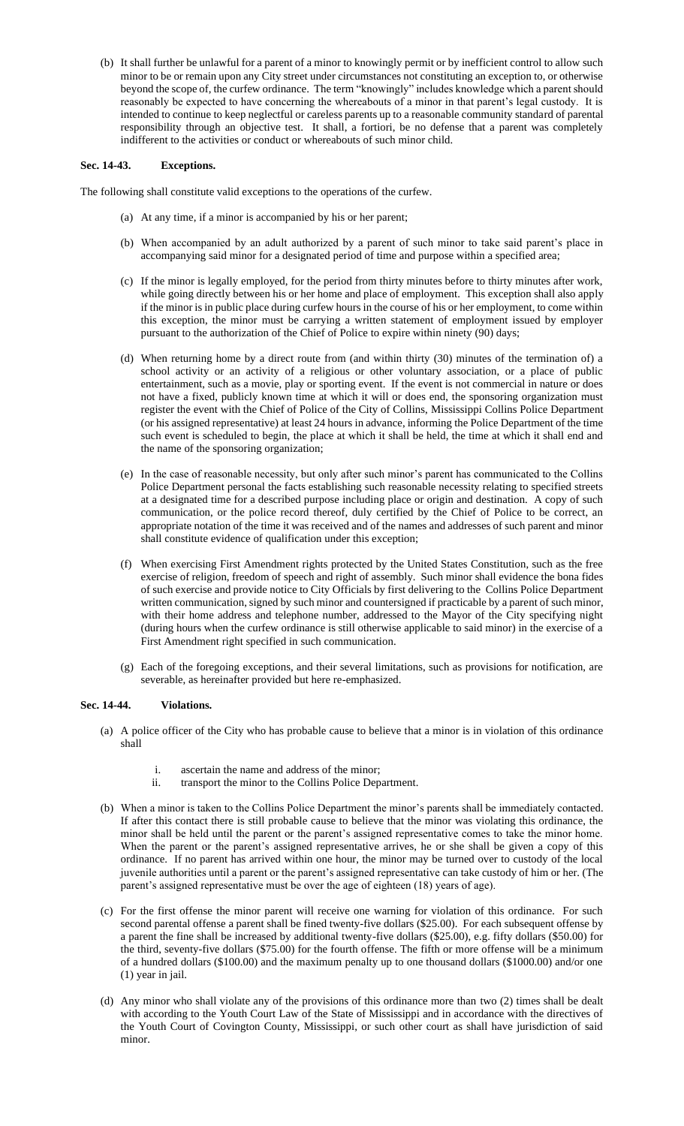(b) It shall further be unlawful for a parent of a minor to knowingly permit or by inefficient control to allow such minor to be or remain upon any City street under circumstances not constituting an exception to, or otherwise beyond the scope of, the curfew ordinance. The term "knowingly" includes knowledge which a parent should reasonably be expected to have concerning the whereabouts of a minor in that parent's legal custody. It is intended to continue to keep neglectful or careless parents up to a reasonable community standard of parental responsibility through an objective test. It shall, a fortiori, be no defense that a parent was completely indifferent to the activities or conduct or whereabouts of such minor child.

## **Sec. 14-43. Exceptions.**

The following shall constitute valid exceptions to the operations of the curfew.

- (a) At any time, if a minor is accompanied by his or her parent;
- (b) When accompanied by an adult authorized by a parent of such minor to take said parent's place in accompanying said minor for a designated period of time and purpose within a specified area;
- (c) If the minor is legally employed, for the period from thirty minutes before to thirty minutes after work, while going directly between his or her home and place of employment. This exception shall also apply if the minor is in public place during curfew hours in the course of his or her employment, to come within this exception, the minor must be carrying a written statement of employment issued by employer pursuant to the authorization of the Chief of Police to expire within ninety (90) days;
- (d) When returning home by a direct route from (and within thirty (30) minutes of the termination of) a school activity or an activity of a religious or other voluntary association, or a place of public entertainment, such as a movie, play or sporting event. If the event is not commercial in nature or does not have a fixed, publicly known time at which it will or does end, the sponsoring organization must register the event with the Chief of Police of the City of Collins, Mississippi Collins Police Department (or his assigned representative) at least 24 hours in advance, informing the Police Department of the time such event is scheduled to begin, the place at which it shall be held, the time at which it shall end and the name of the sponsoring organization;
- (e) In the case of reasonable necessity, but only after such minor's parent has communicated to the Collins Police Department personal the facts establishing such reasonable necessity relating to specified streets at a designated time for a described purpose including place or origin and destination. A copy of such communication, or the police record thereof, duly certified by the Chief of Police to be correct, an appropriate notation of the time it was received and of the names and addresses of such parent and minor shall constitute evidence of qualification under this exception;
- (f) When exercising First Amendment rights protected by the United States Constitution, such as the free exercise of religion, freedom of speech and right of assembly. Such minor shall evidence the bona fides of such exercise and provide notice to City Officials by first delivering to the Collins Police Department written communication, signed by such minor and countersigned if practicable by a parent of such minor, with their home address and telephone number, addressed to the Mayor of the City specifying night (during hours when the curfew ordinance is still otherwise applicable to said minor) in the exercise of a First Amendment right specified in such communication.
- (g) Each of the foregoing exceptions, and their several limitations, such as provisions for notification, are severable, as hereinafter provided but here re-emphasized.

## **Sec. 14-44. Violations.**

- (a) A police officer of the City who has probable cause to believe that a minor is in violation of this ordinance shall
	- i. ascertain the name and address of the minor;
	- ii. transport the minor to the Collins Police Department.
- (b) When a minor is taken to the Collins Police Department the minor's parents shall be immediately contacted. If after this contact there is still probable cause to believe that the minor was violating this ordinance, the minor shall be held until the parent or the parent's assigned representative comes to take the minor home. When the parent or the parent's assigned representative arrives, he or she shall be given a copy of this ordinance. If no parent has arrived within one hour, the minor may be turned over to custody of the local juvenile authorities until a parent or the parent's assigned representative can take custody of him or her. (The parent's assigned representative must be over the age of eighteen (18) years of age).
- (c) For the first offense the minor parent will receive one warning for violation of this ordinance. For such second parental offense a parent shall be fined twenty-five dollars (\$25.00). For each subsequent offense by a parent the fine shall be increased by additional twenty-five dollars (\$25.00), e.g. fifty dollars (\$50.00) for the third, seventy-five dollars (\$75.00) for the fourth offense. The fifth or more offense will be a minimum of a hundred dollars (\$100.00) and the maximum penalty up to one thousand dollars (\$1000.00) and/or one (1) year in jail.
- (d) Any minor who shall violate any of the provisions of this ordinance more than two (2) times shall be dealt with according to the Youth Court Law of the State of Mississippi and in accordance with the directives of the Youth Court of Covington County, Mississippi, or such other court as shall have jurisdiction of said minor.